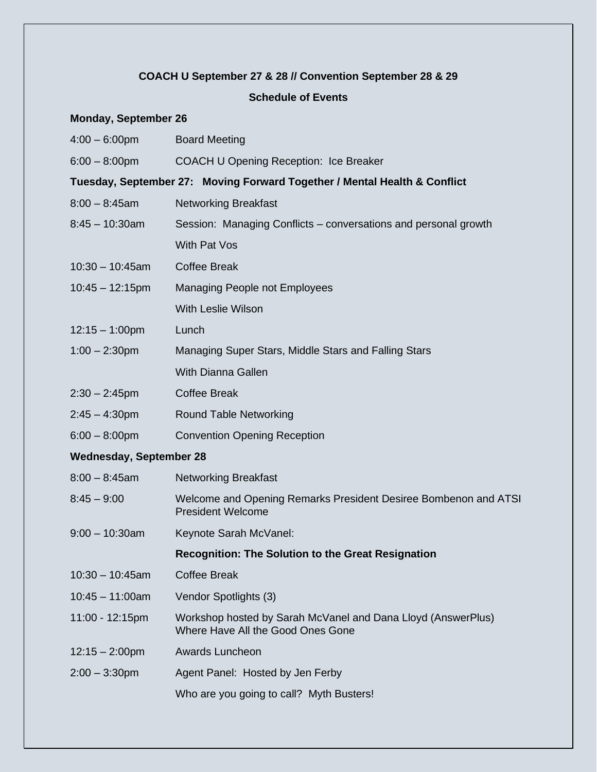## **COACH U September 27 & 28 // Convention September 28 & 29**

## **Schedule of Events**

## **Monday, September 26**

| $4:00 - 6:00$ pm               | <b>Board Meeting</b>                                                                              |
|--------------------------------|---------------------------------------------------------------------------------------------------|
| $6:00 - 8:00$ pm               | COACH U Opening Reception: Ice Breaker                                                            |
|                                | Tuesday, September 27: Moving Forward Together / Mental Health & Conflict                         |
| $8:00 - 8:45$ am               | <b>Networking Breakfast</b>                                                                       |
| $8:45 - 10:30$ am              | Session: Managing Conflicts – conversations and personal growth                                   |
|                                | With Pat Vos                                                                                      |
| $10:30 - 10:45$ am             | <b>Coffee Break</b>                                                                               |
| $10:45 - 12:15$ pm             | Managing People not Employees                                                                     |
|                                | With Leslie Wilson                                                                                |
| $12:15 - 1:00 \text{pm}$       | Lunch                                                                                             |
| $1:00 - 2:30$ pm               | Managing Super Stars, Middle Stars and Falling Stars                                              |
|                                | <b>With Dianna Gallen</b>                                                                         |
| $2:30 - 2:45$ pm               | <b>Coffee Break</b>                                                                               |
| $2:45 - 4:30$ pm               | <b>Round Table Networking</b>                                                                     |
| $6:00 - 8:00$ pm               | <b>Convention Opening Reception</b>                                                               |
| <b>Wednesday, September 28</b> |                                                                                                   |
| $8:00 - 8:45$ am               | <b>Networking Breakfast</b>                                                                       |
| $8:45 - 9:00$                  | Welcome and Opening Remarks President Desiree Bombenon and ATSI<br><b>President Welcome</b>       |
| $9:00 - 10:30$ am              | Keynote Sarah McVanel:                                                                            |
|                                | <b>Recognition: The Solution to the Great Resignation</b>                                         |
| $10:30 - 10:45$ am             | <b>Coffee Break</b>                                                                               |
| $10:45 - 11:00am$              | Vendor Spotlights (3)                                                                             |
| 11:00 - 12:15pm                | Workshop hosted by Sarah McVanel and Dana Lloyd (AnswerPlus)<br>Where Have All the Good Ones Gone |
| $12:15 - 2:00$ pm              | Awards Luncheon                                                                                   |
| $2:00 - 3:30$ pm               | Agent Panel: Hosted by Jen Ferby                                                                  |
|                                | Who are you going to call? Myth Busters!                                                          |
|                                |                                                                                                   |